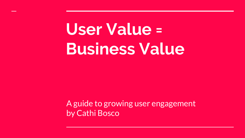### **User Value = Business Value**

A guide to growing user engagement by Cathi Bosco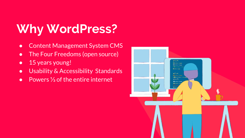### **Why WordPress?**

- Content Management System CMS
- The Four Freedoms (open source)
- 15 years young!
- Usability & Accessibility Standards
- Powers ⅓ of the entire internet

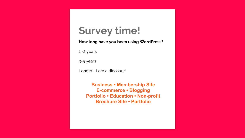### **Survey time!**

**How long have you been using WordPress?**

1 -2 years

3-5 years

Longer - I am a dinosaur!

**Business • Membership Site E-commerce • Blogging Portfolio • Education • Non-profit Brochure Site • Portfolio**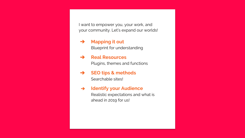I want to empower you, your work, and your community. Let's expand our worlds!

- ➔ **Mapping it out** Blueprint for understanding
- ➔ **Real Resources** Plugins, themes and functions
- ➔ **SEO tips & methods** Searchable sites!
- ➔ **Identify your Audience** Realistic expectations and what is ahead in 2019 for us!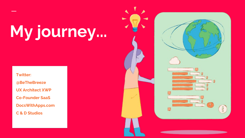# **My journey...**

**Twitter: @BeTheBreeze UX Architect XWP Co-Founder SaaS DocsWithApps.com C & D Studios**

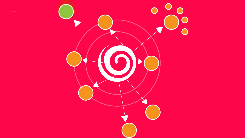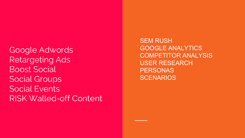Google Adwords Retargeting Ads Boost Social Social Groups Social Events RISK Walled-off Content SEM RUSH GOOGLE ANALYTICS COMPETITOR ANALYSIS USER RESEARCH PERSONAS **SCENARIOS**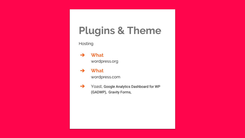### **Plugins & Theme**

Hosting

➔ **What** wordpress.org

➔ **What** wordpress.com

➔ Yoast, Google Analytics Dashboard for WP

(GADWP), Gravity Forms,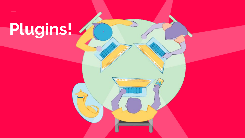## **Plugins!**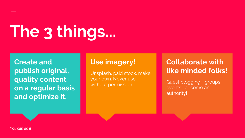## **The 3 things...**

**Create and publish original, quality content on a regular basis and optimize it.**

#### **Use imagery!**

Unsplash, paid stock, make your own. Never use without permission.

#### **Collaborate with like minded folks!**

Guest blogging - groups events… become an authority!

*You can do it!*